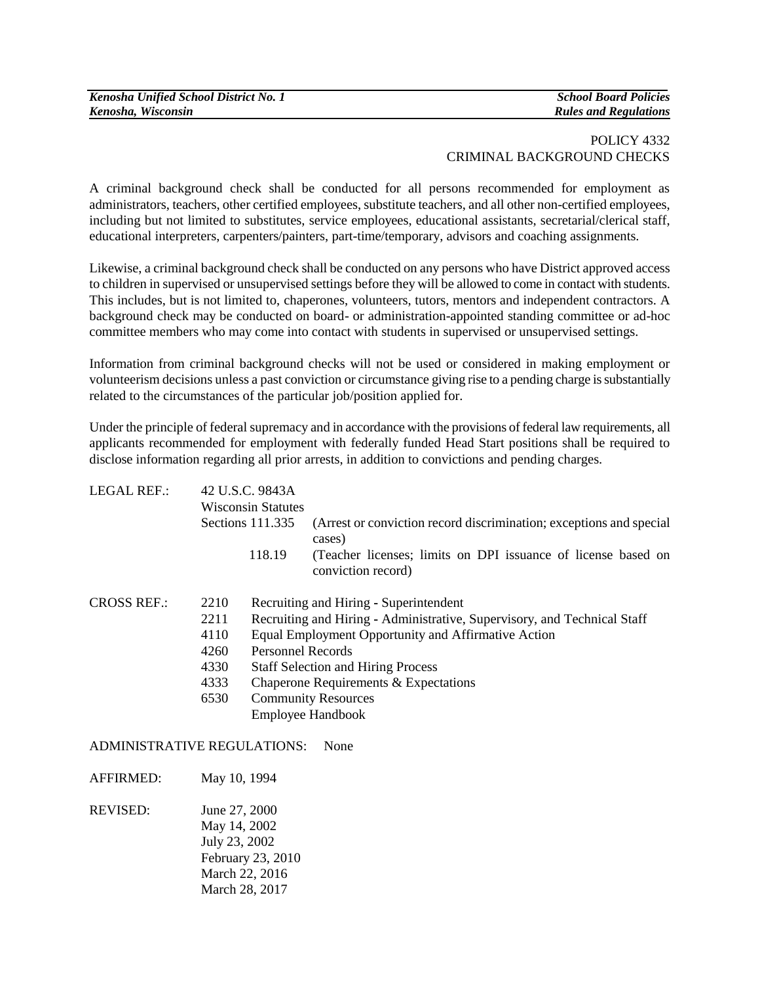## POLICY 4332 CRIMINAL BACKGROUND CHECKS

A criminal background check shall be conducted for all persons recommended for employment as administrators, teachers, other certified employees, substitute teachers, and all other non-certified employees, including but not limited to substitutes, service employees, educational assistants, secretarial/clerical staff, educational interpreters, carpenters/painters, part-time/temporary, advisors and coaching assignments.

Likewise, a criminal background check shall be conducted on any persons who have District approved access to children in supervised or unsupervised settings before they will be allowed to come in contact with students. This includes, but is not limited to, chaperones, volunteers, tutors, mentors and independent contractors. A background check may be conducted on board- or administration-appointed standing committee or ad-hoc committee members who may come into contact with students in supervised or unsupervised settings.

Information from criminal background checks will not be used or considered in making employment or volunteerism decisions unless a past conviction or circumstance giving rise to a pending charge is substantially related to the circumstances of the particular job/position applied for.

Under the principle of federal supremacy and in accordance with the provisions of federal law requirements, all applicants recommended for employment with federally funded Head Start positions shall be required to disclose information regarding all prior arrests, in addition to convictions and pending charges.

| LEGAL REF.:        | 42 U.S.C. 9843A<br><b>Wisconsin Statutes</b> |                                                                                    |                                                                                     |  |
|--------------------|----------------------------------------------|------------------------------------------------------------------------------------|-------------------------------------------------------------------------------------|--|
|                    | Sections $111.335$                           |                                                                                    | (Arrest or conviction record discrimination; exceptions and special<br>cases)       |  |
|                    |                                              | 118.19                                                                             | (Teacher licenses; limits on DPI issuance of license based on<br>conviction record) |  |
| <b>CROSS REF.:</b> | 2210                                         |                                                                                    | Recruiting and Hiring - Superintendent                                              |  |
|                    | 2211                                         |                                                                                    | Recruiting and Hiring - Administrative, Supervisory, and Technical Staff            |  |
|                    | 4110                                         | Equal Employment Opportunity and Affirmative Action                                |                                                                                     |  |
|                    | 4260                                         | <b>Personnel Records</b>                                                           |                                                                                     |  |
|                    | 4330                                         | <b>Staff Selection and Hiring Process</b><br>Chaperone Requirements & Expectations |                                                                                     |  |
|                    | 4333                                         |                                                                                    |                                                                                     |  |
|                    | 6530                                         |                                                                                    | <b>Community Resources</b>                                                          |  |
|                    |                                              |                                                                                    | Employee Handbook                                                                   |  |
|                    |                                              |                                                                                    |                                                                                     |  |

## ADMINISTRATIVE REGULATIONS: None

AFFIRMED: May 10, 1994

REVISED: June 27, 2000 May 14, 2002 July 23, 2002 February 23, 2010 March 22, 2016 March 28, 2017